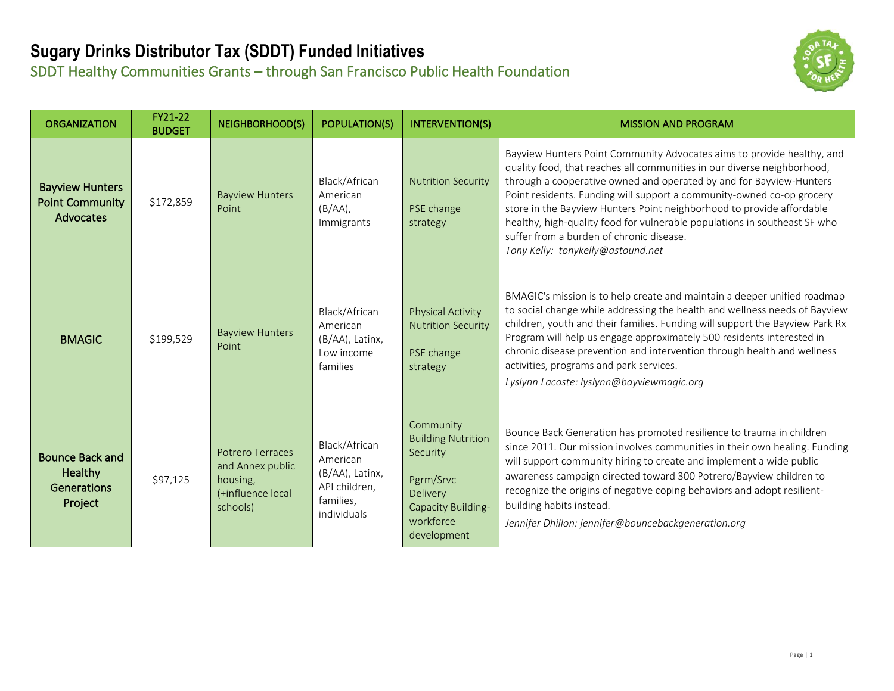# **Sugary Drinks Distributor Tax (SDDT) Funded Initiatives**

SDDT Healthy Communities Grants – through San Francisco Public Health Foundation



| <b>ORGANIZATION</b>                                                       | FY21-22<br><b>BUDGET</b> | <b>NEIGHBORHOOD(S)</b>                                                            | <b>POPULATION(S)</b>                                                                      | <b>INTERVENTION(S)</b>                                                                                                        | <b>MISSION AND PROGRAM</b>                                                                                                                                                                                                                                                                                                                                                                                                                                                                                                               |
|---------------------------------------------------------------------------|--------------------------|-----------------------------------------------------------------------------------|-------------------------------------------------------------------------------------------|-------------------------------------------------------------------------------------------------------------------------------|------------------------------------------------------------------------------------------------------------------------------------------------------------------------------------------------------------------------------------------------------------------------------------------------------------------------------------------------------------------------------------------------------------------------------------------------------------------------------------------------------------------------------------------|
| <b>Bayview Hunters</b><br><b>Point Community</b><br>Advocates             | \$172,859                | <b>Bayview Hunters</b><br>Point                                                   | Black/African<br>American<br>$(B/AA)$ ,<br>Immigrants                                     | <b>Nutrition Security</b><br>PSE change<br>strategy                                                                           | Bayview Hunters Point Community Advocates aims to provide healthy, and<br>quality food, that reaches all communities in our diverse neighborhood,<br>through a cooperative owned and operated by and for Bayview-Hunters<br>Point residents. Funding will support a community-owned co-op grocery<br>store in the Bayview Hunters Point neighborhood to provide affordable<br>healthy, high-quality food for vulnerable populations in southeast SF who<br>suffer from a burden of chronic disease.<br>Tony Kelly: tonykelly@astound.net |
| <b>BMAGIC</b>                                                             | \$199,529                | <b>Bayview Hunters</b><br>Point                                                   | Black/African<br>American<br>(B/AA), Latinx,<br>Low income<br>families                    | <b>Physical Activity</b><br><b>Nutrition Security</b><br>PSE change<br>strategy                                               | BMAGIC's mission is to help create and maintain a deeper unified roadmap<br>to social change while addressing the health and wellness needs of Bayview<br>children, youth and their families. Funding will support the Bayview Park Rx<br>Program will help us engage approximately 500 residents interested in<br>chronic disease prevention and intervention through health and wellness<br>activities, programs and park services.<br>Lyslynn Lacoste: lyslynn@bayviewmagic.org                                                       |
| <b>Bounce Back and</b><br><b>Healthy</b><br><b>Generations</b><br>Project | \$97,125                 | Potrero Terraces<br>and Annex public<br>housing,<br>(+influence local<br>schools) | Black/African<br>American<br>(B/AA), Latinx,<br>API children,<br>families,<br>individuals | Community<br><b>Building Nutrition</b><br>Security<br>Pgrm/Srvc<br>Delivery<br>Capacity Building-<br>workforce<br>development | Bounce Back Generation has promoted resilience to trauma in children<br>since 2011. Our mission involves communities in their own healing. Funding<br>will support community hiring to create and implement a wide public<br>awareness campaign directed toward 300 Potrero/Bayview children to<br>recognize the origins of negative coping behaviors and adopt resilient-<br>building habits instead.<br>Jennifer Dhillon: jennifer@bouncebackgeneration.org                                                                            |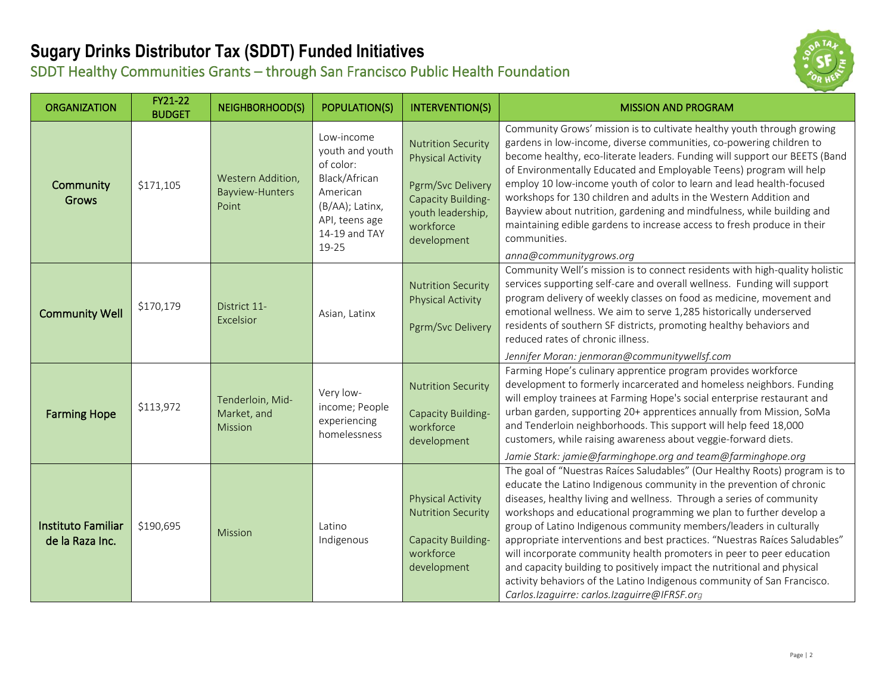#### **Sugary Drinks Distributor Tax (SDDT) Funded Initiatives** SDDT Healthy Communities Grants – through San Francisco Public Health Foundation



| <b>ORGANIZATION</b>                          | FY21-22<br><b>BUDGET</b> | <b>NEIGHBORHOOD(S)</b>                        | <b>POPULATION(S)</b>                                                                                                                   | <b>INTERVENTION(S)</b>                                                                                                                            | <b>MISSION AND PROGRAM</b>                                                                                                                                                                                                                                                                                                                                                                                                                                                                                                                                                                                                                                                                                                          |
|----------------------------------------------|--------------------------|-----------------------------------------------|----------------------------------------------------------------------------------------------------------------------------------------|---------------------------------------------------------------------------------------------------------------------------------------------------|-------------------------------------------------------------------------------------------------------------------------------------------------------------------------------------------------------------------------------------------------------------------------------------------------------------------------------------------------------------------------------------------------------------------------------------------------------------------------------------------------------------------------------------------------------------------------------------------------------------------------------------------------------------------------------------------------------------------------------------|
| Community<br><b>Grows</b>                    | \$171,105                | Western Addition,<br>Bayview-Hunters<br>Point | Low-income<br>youth and youth<br>of color:<br>Black/African<br>American<br>(B/AA); Latinx,<br>API, teens age<br>14-19 and TAY<br>19-25 | <b>Nutrition Security</b><br><b>Physical Activity</b><br>Pgrm/Svc Delivery<br>Capacity Building-<br>youth leadership,<br>workforce<br>development | Community Grows' mission is to cultivate healthy youth through growing<br>gardens in low-income, diverse communities, co-powering children to<br>become healthy, eco-literate leaders. Funding will support our BEETS (Band<br>of Environmentally Educated and Employable Teens) program will help<br>employ 10 low-income youth of color to learn and lead health-focused<br>workshops for 130 children and adults in the Western Addition and<br>Bayview about nutrition, gardening and mindfulness, while building and<br>maintaining edible gardens to increase access to fresh produce in their<br>communities.<br>anna@communitygrows.org                                                                                     |
| <b>Community Well</b>                        | \$170,179                | District 11-<br>Excelsior                     | Asian, Latinx                                                                                                                          | <b>Nutrition Security</b><br><b>Physical Activity</b><br>Pgrm/Svc Delivery                                                                        | Community Well's mission is to connect residents with high-quality holistic<br>services supporting self-care and overall wellness. Funding will support<br>program delivery of weekly classes on food as medicine, movement and<br>emotional wellness. We aim to serve 1,285 historically underserved<br>residents of southern SF districts, promoting healthy behaviors and<br>reduced rates of chronic illness.<br>Jennifer Moran: jenmoran@communitywellsf.com                                                                                                                                                                                                                                                                   |
| <b>Farming Hope</b>                          | \$113,972                | Tenderloin, Mid-<br>Market, and<br>Mission    | Very low-<br>income; People<br>experiencing<br>homelessness                                                                            | <b>Nutrition Security</b><br>Capacity Building-<br>workforce<br>development                                                                       | Farming Hope's culinary apprentice program provides workforce<br>development to formerly incarcerated and homeless neighbors. Funding<br>will employ trainees at Farming Hope's social enterprise restaurant and<br>urban garden, supporting 20+ apprentices annually from Mission, SoMa<br>and Tenderloin neighborhoods. This support will help feed 18,000<br>customers, while raising awareness about veggie-forward diets.<br>Jamie Stark: jamie@farminghope.org and team@farminghope.org                                                                                                                                                                                                                                       |
| <b>Instituto Familiar</b><br>de la Raza Inc. | \$190,695                | <b>Mission</b>                                | Latino<br>Indigenous                                                                                                                   | <b>Physical Activity</b><br><b>Nutrition Security</b><br>Capacity Building-<br>workforce<br>development                                           | The goal of "Nuestras Raíces Saludables" (Our Healthy Roots) program is to<br>educate the Latino Indigenous community in the prevention of chronic<br>diseases, healthy living and wellness. Through a series of community<br>workshops and educational programming we plan to further develop a<br>group of Latino Indigenous community members/leaders in culturally<br>appropriate interventions and best practices. "Nuestras Raíces Saludables"<br>will incorporate community health promoters in peer to peer education<br>and capacity building to positively impact the nutritional and physical<br>activity behaviors of the Latino Indigenous community of San Francisco.<br>Carlos.Izaguirre: carlos.Izaguirre@IFRSF.org |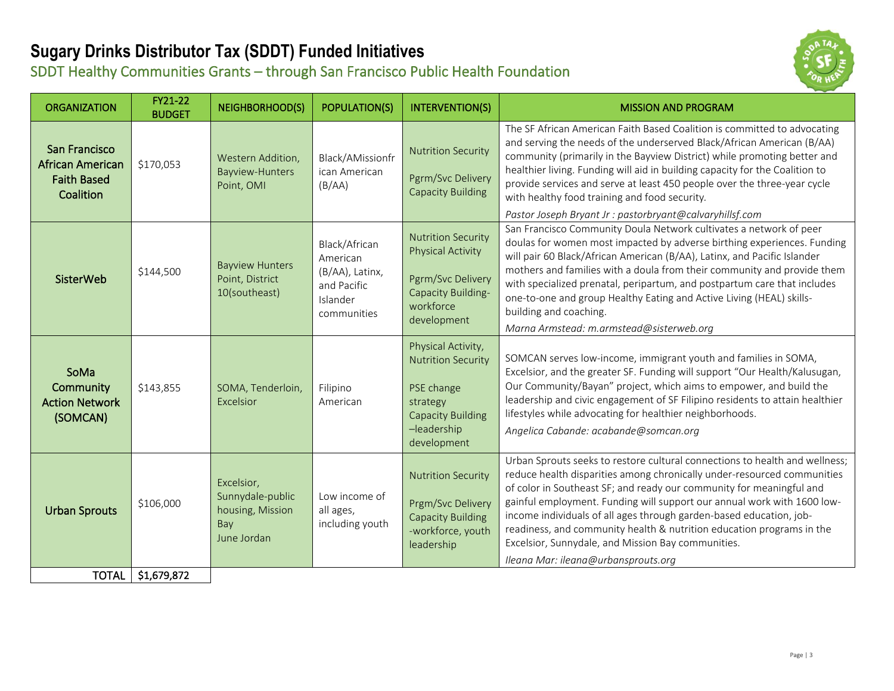#### **Sugary Drinks Distributor Tax (SDDT) Funded Initiatives** SDDT Healthy Communities Grants – through San Francisco Public Health Foundation



| <b>ORGANIZATION</b>                                                         | FY21-22<br><b>BUDGET</b> | <b>NEIGHBORHOOD(S)</b>                                                   | <b>POPULATION(S)</b>                                                                   | <b>INTERVENTION(S)</b>                                                                                                              | <b>MISSION AND PROGRAM</b>                                                                                                                                                                                                                                                                                                                                                                                                                                                                                                                                                                 |
|-----------------------------------------------------------------------------|--------------------------|--------------------------------------------------------------------------|----------------------------------------------------------------------------------------|-------------------------------------------------------------------------------------------------------------------------------------|--------------------------------------------------------------------------------------------------------------------------------------------------------------------------------------------------------------------------------------------------------------------------------------------------------------------------------------------------------------------------------------------------------------------------------------------------------------------------------------------------------------------------------------------------------------------------------------------|
| San Francisco<br><b>African American</b><br><b>Faith Based</b><br>Coalition | \$170,053                | Western Addition,<br>Bayview-Hunters<br>Point, OMI                       | Black/AMissionfr<br>ican American<br>(B/AA)                                            | <b>Nutrition Security</b><br>Pgrm/Svc Delivery<br><b>Capacity Building</b>                                                          | The SF African American Faith Based Coalition is committed to advocating<br>and serving the needs of the underserved Black/African American (B/AA)<br>community (primarily in the Bayview District) while promoting better and<br>healthier living. Funding will aid in building capacity for the Coalition to<br>provide services and serve at least 450 people over the three-year cycle<br>with healthy food training and food security.                                                                                                                                                |
| <b>SisterWeb</b>                                                            | \$144,500                | <b>Bayview Hunters</b><br>Point, District<br>10(southeast)               | Black/African<br>American<br>(B/AA), Latinx,<br>and Pacific<br>Islander<br>communities | <b>Nutrition Security</b><br><b>Physical Activity</b><br>Pgrm/Svc Delivery<br>Capacity Building-<br>workforce<br>development        | Pastor Joseph Bryant Jr : pastorbryant@calvaryhillsf.com<br>San Francisco Community Doula Network cultivates a network of peer<br>doulas for women most impacted by adverse birthing experiences. Funding<br>will pair 60 Black/African American (B/AA), Latinx, and Pacific Islander<br>mothers and families with a doula from their community and provide them<br>with specialized prenatal, peripartum, and postpartum care that includes<br>one-to-one and group Healthy Eating and Active Living (HEAL) skills-<br>building and coaching.<br>Marna Armstead: m.armstead@sisterweb.org |
| SoMa<br>Community<br><b>Action Network</b><br>(SOMCAN)                      | \$143,855                | SOMA, Tenderloin,<br>Excelsior                                           | Filipino<br>American                                                                   | Physical Activity,<br><b>Nutrition Security</b><br>PSE change<br>strategy<br><b>Capacity Building</b><br>-leadership<br>development | SOMCAN serves low-income, immigrant youth and families in SOMA,<br>Excelsior, and the greater SF. Funding will support "Our Health/Kalusugan,<br>Our Community/Bayan" project, which aims to empower, and build the<br>leadership and civic engagement of SF Filipino residents to attain healthier<br>lifestyles while advocating for healthier neighborhoods.<br>Angelica Cabande: acabande@somcan.org                                                                                                                                                                                   |
| <b>Urban Sprouts</b>                                                        | \$106,000                | Excelsior,<br>Sunnydale-public<br>housing, Mission<br>Bay<br>June Jordan | Low income of<br>all ages,<br>including youth                                          | <b>Nutrition Security</b><br>Prgm/Svc Delivery<br><b>Capacity Building</b><br>-workforce, youth<br>leadership                       | Urban Sprouts seeks to restore cultural connections to health and wellness;<br>reduce health disparities among chronically under-resourced communities<br>of color in Southeast SF; and ready our community for meaningful and<br>gainful employment. Funding will support our annual work with 1600 low-<br>income individuals of all ages through garden-based education, job-<br>readiness, and community health & nutrition education programs in the<br>Excelsior, Sunnydale, and Mission Bay communities.<br>Ileana Mar: ileana@urbansprouts.org                                     |
| <b>TOTAL</b>                                                                | \$1,679,872              |                                                                          |                                                                                        |                                                                                                                                     |                                                                                                                                                                                                                                                                                                                                                                                                                                                                                                                                                                                            |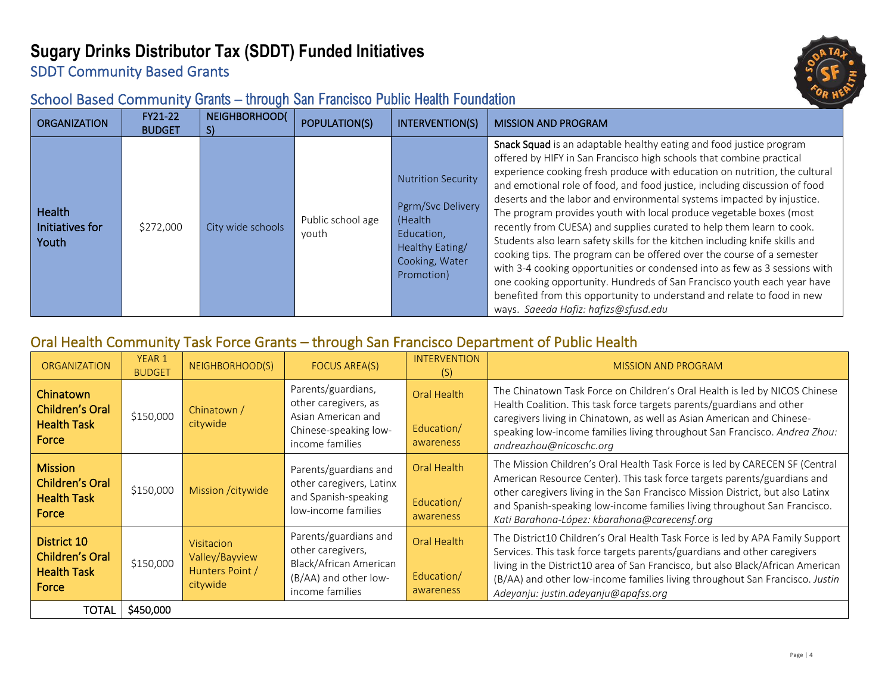# **Sugary Drinks Distributor Tax (SDDT) Funded Initiatives**





#### School Based Community Grants – through San Francisco Public Health Foundation

| <b>ORGANIZATION</b>                | FY21-22<br><b>BUDGET</b> | <b>NEIGHBORHOOD(</b><br>S) | POPULATION(S)              | INTERVENTION(S)                                                                                                            | <b>MISSION AND PROGRAM</b>                                                                                                                                                                                                                                                                                                                                                                                                                                                                                                                                                                                                                                                                                                                                                                                                                                                                                                                                              |
|------------------------------------|--------------------------|----------------------------|----------------------------|----------------------------------------------------------------------------------------------------------------------------|-------------------------------------------------------------------------------------------------------------------------------------------------------------------------------------------------------------------------------------------------------------------------------------------------------------------------------------------------------------------------------------------------------------------------------------------------------------------------------------------------------------------------------------------------------------------------------------------------------------------------------------------------------------------------------------------------------------------------------------------------------------------------------------------------------------------------------------------------------------------------------------------------------------------------------------------------------------------------|
| Health<br>Initiatives for<br>Youth | \$272,000                | City wide schools          | Public school age<br>youth | <b>Nutrition Security</b><br>Pgrm/Svc Delivery<br>(Health<br>Education,<br>Healthy Eating/<br>Cooking, Water<br>Promotion) | Snack Squad is an adaptable healthy eating and food justice program<br>offered by HIFY in San Francisco high schools that combine practical<br>experience cooking fresh produce with education on nutrition, the cultural<br>and emotional role of food, and food justice, including discussion of food<br>deserts and the labor and environmental systems impacted by injustice.<br>The program provides youth with local produce vegetable boxes (most<br>recently from CUESA) and supplies curated to help them learn to cook.<br>Students also learn safety skills for the kitchen including knife skills and<br>cooking tips. The program can be offered over the course of a semester<br>with 3-4 cooking opportunities or condensed into as few as 3 sessions with<br>one cooking opportunity. Hundreds of San Francisco youth each year have<br>benefited from this opportunity to understand and relate to food in new<br>ways. Saeeda Hafiz: hafizs@sfusd.edu |

#### Oral Health Community Task Force Grants – through San Francisco Department of Public Health

| <b>ORGANIZATION</b>                                                     | YEAR 1<br><b>BUDGET</b> | NEIGHBORHOOD(S)                                             | FOCUS AREA(S)                                                                                                    | <b>INTERVENTION</b><br>(S)                    | <b>MISSION AND PROGRAM</b>                                                                                                                                                                                                                                                                                                                                             |
|-------------------------------------------------------------------------|-------------------------|-------------------------------------------------------------|------------------------------------------------------------------------------------------------------------------|-----------------------------------------------|------------------------------------------------------------------------------------------------------------------------------------------------------------------------------------------------------------------------------------------------------------------------------------------------------------------------------------------------------------------------|
| Chinatown<br>Children's Oral<br><b>Health Task</b><br>Force             | \$150,000               | Chinatown /<br>citywide                                     | Parents/guardians,<br>other caregivers, as<br>Asian American and<br>Chinese-speaking low-<br>income families     | Oral Health<br>Education/<br>awareness        | The Chinatown Task Force on Children's Oral Health is led by NICOS Chinese<br>Health Coalition. This task force targets parents/guardians and other<br>caregivers living in Chinatown, as well as Asian American and Chinese-<br>speaking low-income families living throughout San Francisco. Andrea Zhou:<br>andreazhou@nicoschc.org                                 |
| <b>Mission</b><br><b>Children's Oral</b><br><b>Health Task</b><br>Force | \$150,000               | Mission / citywide                                          | Parents/guardians and<br>other caregivers, Latinx<br>and Spanish-speaking<br>low-income families                 | <b>Oral Health</b><br>Education/<br>awareness | The Mission Children's Oral Health Task Force is led by CARECEN SF (Central<br>American Resource Center). This task force targets parents/guardians and<br>other caregivers living in the San Francisco Mission District, but also Latinx<br>and Spanish-speaking low-income families living throughout San Francisco.<br>Kati Barahona-López: kbarahona@carecensf.org |
| District 10<br>Children's Oral<br><b>Health Task</b><br>Force           | \$150,000               | Visitacion<br>Valley/Bayview<br>Hunters Point /<br>citywide | Parents/guardians and<br>other caregivers,<br>Black/African American<br>(B/AA) and other low-<br>income families | Oral Health<br>Education/<br>awareness        | The District10 Children's Oral Health Task Force is led by APA Family Support<br>Services. This task force targets parents/guardians and other caregivers<br>living in the District10 area of San Francisco, but also Black/African American<br>(B/AA) and other low-income families living throughout San Francisco. Justin<br>Adeyanju: justin.adeyanju@apafss.org   |
| TOTAL                                                                   | \$450,000               |                                                             |                                                                                                                  |                                               |                                                                                                                                                                                                                                                                                                                                                                        |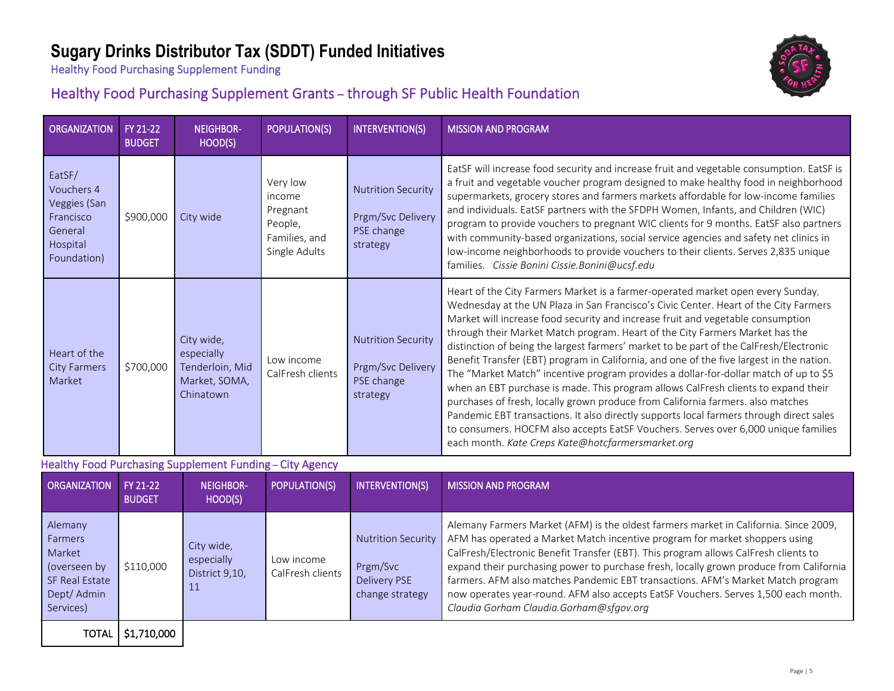## **Sugary Drinks Distributor Tax (SDDT) Funded Initiatives**

NEIGHBOR-

Healthy Food Purchasing Supplement Funding

 $\overline{O}$  ORGANIZATION FY 21-22

#### Healthy Food Purchasing Supplement Grants – through SF Public Health Foundation

|                                                                                                   | 112222<br><b>BUDGET</b>   | 11LIVIIDVII<br>HOOD(S)                                                    | ו טו טבחווטוזי                                                              | IIIIIUNLIIIUIUI                                                                 | ויורטטוו ו שיות זוטונטוויו                                                                                                                                                                                                                                                                                                                                                                                                                                                                                                                                                                                                                                                                                                                                                                                                                                                                                                                                                                                                              |
|---------------------------------------------------------------------------------------------------|---------------------------|---------------------------------------------------------------------------|-----------------------------------------------------------------------------|---------------------------------------------------------------------------------|-----------------------------------------------------------------------------------------------------------------------------------------------------------------------------------------------------------------------------------------------------------------------------------------------------------------------------------------------------------------------------------------------------------------------------------------------------------------------------------------------------------------------------------------------------------------------------------------------------------------------------------------------------------------------------------------------------------------------------------------------------------------------------------------------------------------------------------------------------------------------------------------------------------------------------------------------------------------------------------------------------------------------------------------|
| EatSF/<br>Vouchers 4<br>Veggies (San<br>Francisco<br>General<br>Hospital<br>Foundation)           | \$900,000                 | City wide                                                                 | Very low<br>income<br>Pregnant<br>People,<br>Families, and<br>Single Adults | <b>Nutrition Security</b><br>Prgm/Svc Delivery<br>PSE change<br>strategy        | EatSF will increase food security and increase fruit and vegetable consumption. EatSF is<br>a fruit and vegetable voucher program designed to make healthy food in neighborhood<br>supermarkets, grocery stores and farmers markets affordable for low-income families<br>and individuals. EatSF partners with the SFDPH Women, Infants, and Children (WIC)<br>program to provide vouchers to pregnant WIC clients for 9 months. EatSF also partners<br>with community-based organizations, social service agencies and safety net clinics in<br>low-income neighborhoods to provide vouchers to their clients. Serves 2,835 unique<br>families. Cissie Bonini Cissie.Bonini@ucsf.edu                                                                                                                                                                                                                                                                                                                                                   |
| Heart of the<br><b>City Farmers</b><br>Market                                                     | \$700,000                 | City wide,<br>especially<br>Tenderloin, Mid<br>Market, SOMA,<br>Chinatown | Low income<br>CalFresh clients                                              | <b>Nutrition Security</b><br>Prgm/Svc Delivery<br>PSE change<br>strategy        | Heart of the City Farmers Market is a farmer-operated market open every Sunday,<br>Wednesday at the UN Plaza in San Francisco's Civic Center. Heart of the City Farmers<br>Market will increase food security and increase fruit and vegetable consumption<br>through their Market Match program. Heart of the City Farmers Market has the<br>distinction of being the largest farmers' market to be part of the CalFresh/Electronic<br>Benefit Transfer (EBT) program in California, and one of the five largest in the nation.<br>The "Market Match" incentive program provides a dollar-for-dollar match of up to \$5<br>when an EBT purchase is made. This program allows CalFresh clients to expand their<br>purchases of fresh, locally grown produce from California farmers. also matches<br>Pandemic EBT transactions. It also directly supports local farmers through direct sales<br>to consumers. HOCFM also accepts EatSF Vouchers. Serves over 6,000 unique families<br>each month. Kate Creps Kate@hotcfarmersmarket.org |
|                                                                                                   |                           | Healthy Food Purchasing Supplement Funding - City Agency                  |                                                                             |                                                                                 |                                                                                                                                                                                                                                                                                                                                                                                                                                                                                                                                                                                                                                                                                                                                                                                                                                                                                                                                                                                                                                         |
| <b>ORGANIZATION</b>                                                                               | FY 21-22<br><b>BUDGET</b> | <b>NEIGHBOR-</b><br>HOOD(S)                                               | POPULATION(S)                                                               | <b>INTERVENTION(S)</b>                                                          | <b>MISSION AND PROGRAM</b>                                                                                                                                                                                                                                                                                                                                                                                                                                                                                                                                                                                                                                                                                                                                                                                                                                                                                                                                                                                                              |
| Alemany<br>Farmers<br>Market<br>(overseen by<br><b>SF Real Estate</b><br>Dept/ Admin<br>Services) | \$110,000                 | City wide,<br>especially<br>District 9,10,<br>11                          | Low income<br>CalFresh clients                                              | <b>Nutrition Security</b><br>Prgm/Svc<br><b>Delivery PSE</b><br>change strategy | Alemany Farmers Market (AFM) is the oldest farmers market in California. Since 2009,<br>AFM has operated a Market Match incentive program for market shoppers using<br>CalFresh/Electronic Benefit Transfer (EBT). This program allows CalFresh clients to<br>expand their purchasing power to purchase fresh, locally grown produce from California<br>farmers. AFM also matches Pandemic EBT transactions. AFM's Market Match program<br>now operates year-round. AFM also accepts EatSF Vouchers. Serves 1,500 each month.<br>Claudia Gorham Claudia.Gorham@sfgov.org                                                                                                                                                                                                                                                                                                                                                                                                                                                                |
| <b>TOTAL</b>                                                                                      | \$1,710,000               |                                                                           |                                                                             |                                                                                 |                                                                                                                                                                                                                                                                                                                                                                                                                                                                                                                                                                                                                                                                                                                                                                                                                                                                                                                                                                                                                                         |

**POPULATION(S)** INTERVENTION(S) MISSION AND PROGRAM

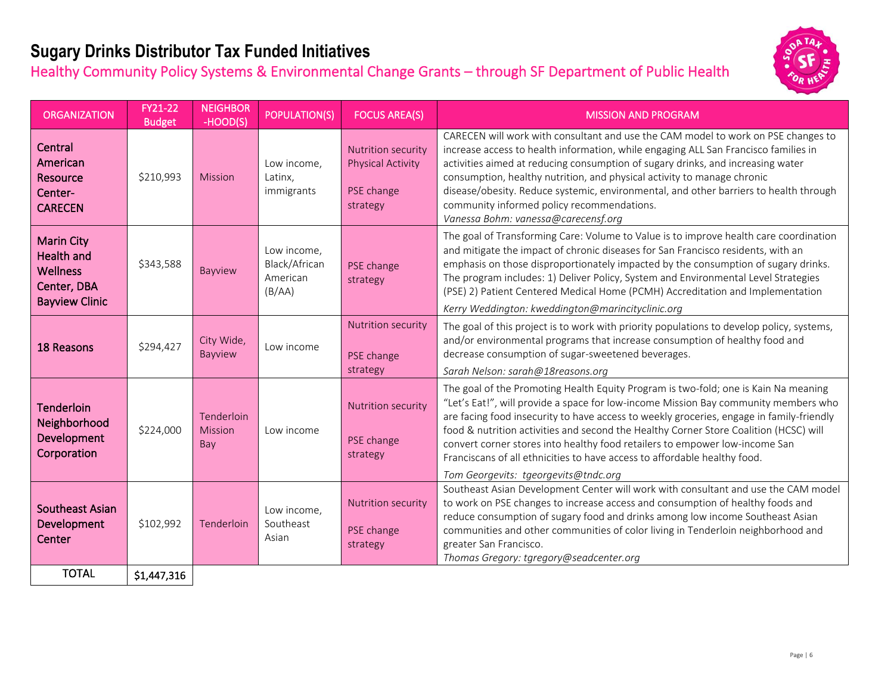## **Sugary Drinks Distributor Tax Funded Initiatives**

Healthy Community Policy Systems & Environmental Change Grants – through SF Department of Public Health



| <b>ORGANIZATION</b>                                                                               | FY21-22<br><b>Budget</b> | <b>NEIGHBOR</b><br>-HOOD(S)  | <b>POPULATION(S)</b>                               | <b>FOCUS AREA(S)</b>                                                            | <b>MISSION AND PROGRAM</b>                                                                                                                                                                                                                                                                                                                                                                                                                                                                                                                                          |
|---------------------------------------------------------------------------------------------------|--------------------------|------------------------------|----------------------------------------------------|---------------------------------------------------------------------------------|---------------------------------------------------------------------------------------------------------------------------------------------------------------------------------------------------------------------------------------------------------------------------------------------------------------------------------------------------------------------------------------------------------------------------------------------------------------------------------------------------------------------------------------------------------------------|
| Central<br>American<br>Resource<br>Center-<br><b>CARECEN</b>                                      | \$210,993                | <b>Mission</b>               | Low income,<br>Latinx,<br>immigrants               | <b>Nutrition security</b><br><b>Physical Activity</b><br>PSE change<br>strategy | CARECEN will work with consultant and use the CAM model to work on PSE changes to<br>increase access to health information, while engaging ALL San Francisco families in<br>activities aimed at reducing consumption of sugary drinks, and increasing water<br>consumption, healthy nutrition, and physical activity to manage chronic<br>disease/obesity. Reduce systemic, environmental, and other barriers to health through<br>community informed policy recommendations.<br>Vanessa Bohm: vanessa@carecensf.org                                                |
| <b>Marin City</b><br><b>Health and</b><br><b>Wellness</b><br>Center, DBA<br><b>Bayview Clinic</b> | \$343,588                | Bayview                      | Low income,<br>Black/African<br>American<br>(B/AA) | PSE change<br>strategy                                                          | The goal of Transforming Care: Volume to Value is to improve health care coordination<br>and mitigate the impact of chronic diseases for San Francisco residents, with an<br>emphasis on those disproportionately impacted by the consumption of sugary drinks.<br>The program includes: 1) Deliver Policy, System and Environmental Level Strategies<br>(PSE) 2) Patient Centered Medical Home (PCMH) Accreditation and Implementation<br>Kerry Weddington: kweddington@marincityclinic.org                                                                        |
| 18 Reasons                                                                                        | \$294,427                | City Wide,<br><b>Bayview</b> | Low income                                         | <b>Nutrition security</b><br>PSE change<br>strategy                             | The goal of this project is to work with priority populations to develop policy, systems,<br>and/or environmental programs that increase consumption of healthy food and<br>decrease consumption of sugar-sweetened beverages.<br>Sarah Nelson: sarah@18reasons.org                                                                                                                                                                                                                                                                                                 |
| <b>Tenderloin</b><br>Neighborhood<br>Development<br>Corporation                                   | \$224,000                | Tenderloin<br>Mission<br>Bay | Low income                                         | <b>Nutrition security</b><br>PSE change<br>strategy                             | The goal of the Promoting Health Equity Program is two-fold; one is Kain Na meaning<br>"Let's Eat!", will provide a space for low-income Mission Bay community members who<br>are facing food insecurity to have access to weekly groceries, engage in family-friendly<br>food & nutrition activities and second the Healthy Corner Store Coalition (HCSC) will<br>convert corner stores into healthy food retailers to empower low-income San<br>Franciscans of all ethnicities to have access to affordable healthy food.<br>Tom Georgevits: tgeorgevits@tndc.org |
| Southeast Asian<br>Development<br>Center                                                          | \$102,992                | Tenderloin                   | Low income,<br>Southeast<br>Asian                  | Nutrition security<br>PSE change<br>strategy                                    | Southeast Asian Development Center will work with consultant and use the CAM model<br>to work on PSE changes to increase access and consumption of healthy foods and<br>reduce consumption of sugary food and drinks among low income Southeast Asian<br>communities and other communities of color living in Tenderloin neighborhood and<br>greater San Francisco.<br>Thomas Gregory: tgregory@seadcenter.org                                                                                                                                                      |
| <b>TOTAL</b>                                                                                      | \$1,447,316              |                              |                                                    |                                                                                 |                                                                                                                                                                                                                                                                                                                                                                                                                                                                                                                                                                     |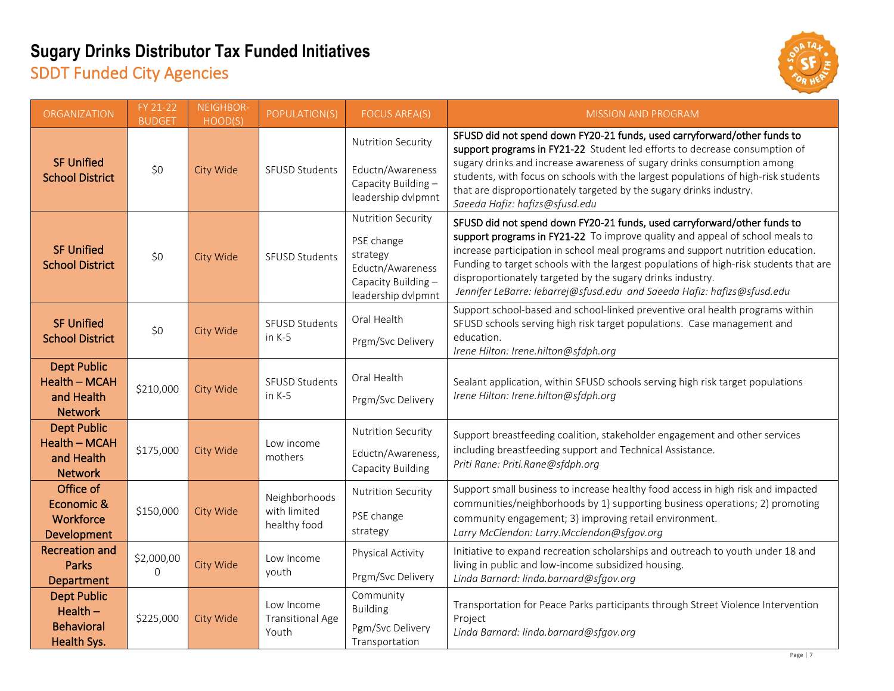### **Sugary Drinks Distributor Tax Funded Initiatives** SDDT Funded City Agencies



| <b>ORGANIZATION</b>                                                        | $FY$ 21-22<br><b>BUDGET</b> | NEIGHBOR-<br>HOOD(S) | POPULATION(S)                                  | <b>FOCUS AREA(S)</b>                                                                                                 | <b>MISSION AND PROGRAM</b>                                                                                                                                                                                                                                                                                                                                                                                                                                                    |
|----------------------------------------------------------------------------|-----------------------------|----------------------|------------------------------------------------|----------------------------------------------------------------------------------------------------------------------|-------------------------------------------------------------------------------------------------------------------------------------------------------------------------------------------------------------------------------------------------------------------------------------------------------------------------------------------------------------------------------------------------------------------------------------------------------------------------------|
| <b>SF Unified</b><br><b>School District</b>                                | \$0                         | City Wide            | <b>SFUSD Students</b>                          | <b>Nutrition Security</b><br>Eductn/Awareness<br>Capacity Building -<br>leadership dvlpmnt                           | SFUSD did not spend down FY20-21 funds, used carryforward/other funds to<br>support programs in FY21-22 Student led efforts to decrease consumption of<br>sugary drinks and increase awareness of sugary drinks consumption among<br>students, with focus on schools with the largest populations of high-risk students<br>that are disproportionately targeted by the sugary drinks industry.<br>Saeeda Hafiz: hafizs@sfusd.edu                                              |
| <b>SF Unified</b><br><b>School District</b>                                | \$0                         | City Wide            | SFUSD Students                                 | <b>Nutrition Security</b><br>PSE change<br>strategy<br>Eductn/Awareness<br>Capacity Building -<br>leadership dvlpmnt | SFUSD did not spend down FY20-21 funds, used carryforward/other funds to<br>support programs in FY21-22 To improve quality and appeal of school meals to<br>increase participation in school meal programs and support nutrition education.<br>Funding to target schools with the largest populations of high-risk students that are<br>disproportionately targeted by the sugary drinks industry.<br>Jennifer LeBarre: lebarrej@sfusd.edu and Saeeda Hafiz: hafizs@sfusd.edu |
| <b>SF Unified</b><br><b>School District</b>                                | \$0                         | City Wide            | SFUSD Students<br>in K-5                       | Oral Health<br>Prgm/Svc Delivery                                                                                     | Support school-based and school-linked preventive oral health programs within<br>SFUSD schools serving high risk target populations. Case management and<br>education.<br>Irene Hilton: Irene.hilton@sfdph.org                                                                                                                                                                                                                                                                |
| <b>Dept Public</b><br><b>Health - MCAH</b><br>and Health<br><b>Network</b> | \$210,000                   | City Wide            | SFUSD Students<br>in K-5                       | Oral Health<br>Prgm/Svc Delivery                                                                                     | Sealant application, within SFUSD schools serving high risk target populations<br>Irene Hilton: Irene.hilton@sfdph.org                                                                                                                                                                                                                                                                                                                                                        |
| <b>Dept Public</b><br><b>Health - MCAH</b><br>and Health<br><b>Network</b> | \$175,000                   | City Wide            | Low income<br>mothers                          | <b>Nutrition Security</b><br>Eductn/Awareness,<br>Capacity Building                                                  | Support breastfeeding coalition, stakeholder engagement and other services<br>including breastfeeding support and Technical Assistance.<br>Priti Rane: Priti.Rane@sfdph.org                                                                                                                                                                                                                                                                                                   |
| Office of<br>Economic &<br>Workforce<br>Development                        | \$150,000                   | City Wide            | Neighborhoods<br>with limited<br>healthy food  | <b>Nutrition Security</b><br>PSE change<br>strategy                                                                  | Support small business to increase healthy food access in high risk and impacted<br>communities/neighborhoods by 1) supporting business operations; 2) promoting<br>community engagement; 3) improving retail environment.<br>Larry McClendon: Larry.Mcclendon@sfgov.org                                                                                                                                                                                                      |
| <b>Recreation and</b><br>Parks<br><b>Department</b>                        | \$2,000,00<br>$\mathbf{O}$  | City Wide            | Low Income<br>youth                            | Physical Activity<br>Prgm/Svc Delivery                                                                               | Initiative to expand recreation scholarships and outreach to youth under 18 and<br>living in public and low-income subsidized housing.<br>Linda Barnard: linda.barnard@sfgov.org                                                                                                                                                                                                                                                                                              |
| <b>Dept Public</b><br>$Health -$<br><b>Behavioral</b><br>Health Sys.       | \$225,000                   | City Wide            | Low Income<br><b>Transitional Age</b><br>Youth | Community<br><b>Building</b><br>Pgm/Svc Delivery<br>Transportation                                                   | Transportation for Peace Parks participants through Street Violence Intervention<br>Project<br>Linda Barnard: linda.barnard@sfgov.org                                                                                                                                                                                                                                                                                                                                         |